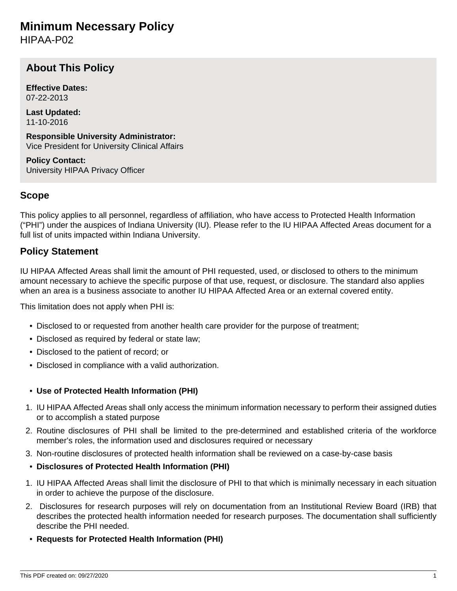# <span id="page-0-0"></span>**Minimum Necessary Policy**

HIPAA-P02

## **About This Policy**

**Effective Dates:** 07-22-2013

**Last Updated:** 11-10-2016

**Responsible University Administrator:** Vice President for University Clinical Affairs

**Policy Contact:** University HIPAA Privacy Officer

## **Scope**

This policy applies to all personnel, regardless of affiliation, who have access to Protected Health Information ("PHI") under the auspices of Indiana University (IU). Please refer to the IU HIPAA Affected Areas document for a full list of units impacted within Indiana University.

## **Policy Statement**

IU HIPAA Affected Areas shall limit the amount of PHI requested, used, or disclosed to others to the minimum amount necessary to achieve the specific purpose of that use, request, or disclosure. The standard also applies when an area is a business associate to another IU HIPAA Affected Area or an external covered entity.

This limitation does not apply when PHI is:

- Disclosed to or requested from another health care provider for the purpose of treatment;
- Disclosed as required by federal or state law;
- Disclosed to the patient of record; or
- Disclosed in compliance with a valid authorization.

#### • **Use of Protected Health Information (PHI)**

- 1. IU HIPAA Affected Areas shall only access the minimum information necessary to perform their assigned duties or to accomplish a stated purpose
- 2. Routine disclosures of PHI shall be limited to the pre-determined and established criteria of the workforce member's roles, the information used and disclosures required or necessary
- 3. Non-routine disclosures of protected health information shall be reviewed on a case-by-case basis
- **Disclosures of Protected Health Information (PHI)**
- 1. IU HIPAA Affected Areas shall limit the disclosure of PHI to that which is minimally necessary in each situation in order to achieve the purpose of the disclosure.
- 2. Disclosures for research purposes will rely on documentation from an Institutional Review Board (IRB) that describes the protected health information needed for research purposes. The documentation shall sufficiently describe the PHI needed.
- **Requests for Protected Health Information (PHI)**